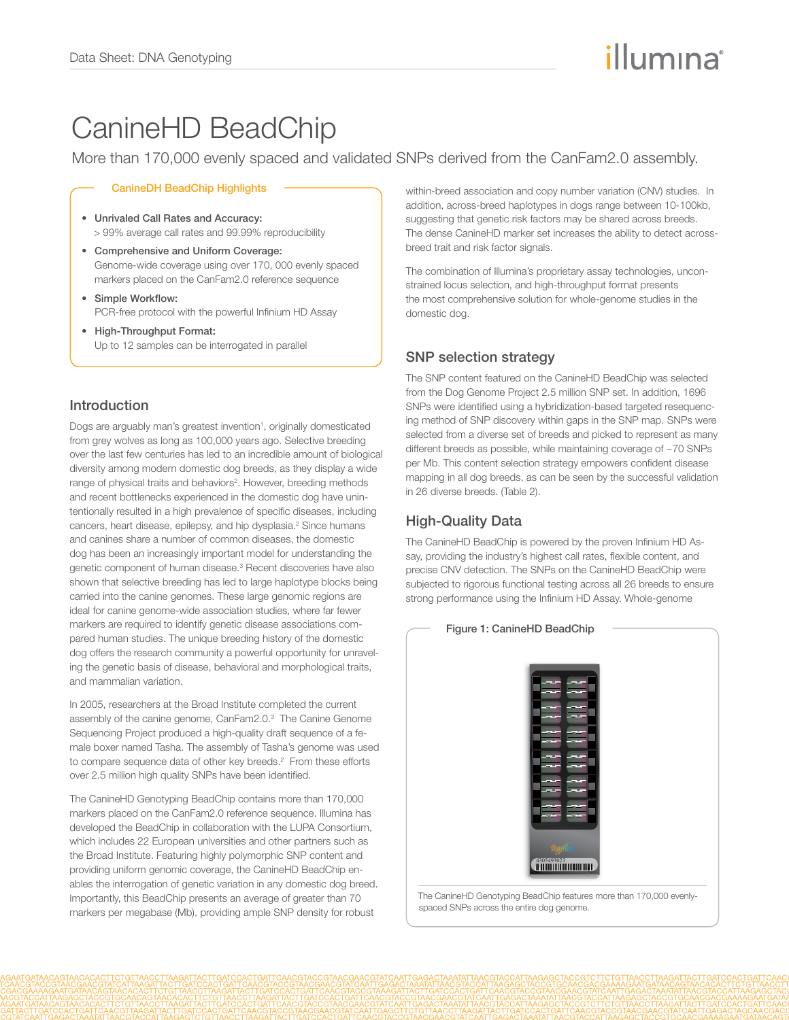# illumına

## CanineHD BeadChip

More than 170,000 evenly spaced and validated SNPs derived from the CanFam2.0 assembly.

#### CanineDH BeadChip Highlights

- • Unrivaled Call Rates and Accuracy: > 99% average call rates and 99.99% reproducibility
- • Comprehensive and Uniform Coverage: Genome-wide coverage using over 170, 000 evenly spaced markers placed on the CanFam2.0 reference sequence
- • Simple Workflow: PCR-free protocol with the powerful Infinium HD Assay
- • High-Throughput Format: Up to 12 samples can be interrogated in parallel

## Introduction

Dogs are arguably man's greatest invention<sup>1</sup>, originally domesticated from grey wolves as long as 100,000 years ago. Selective breeding over the last few centuries has led to an incredible amount of biological diversity among modern domestic dog breeds, as they display a wide range of physical traits and behaviors<sup>2</sup>. However, breeding methods and recent bottlenecks experienced in the domestic dog have unintentionally resulted in a high prevalence of specific diseases, including cancers, heart disease, epilepsy, and hip dysplasia.<sup>2</sup> Since humans and canines share a number of common diseases, the domestic dog has been an increasingly important model for understanding the genetic component of human disease.<sup>3</sup> Recent discoveries have also shown that selective breeding has led to large haplotype blocks being carried into the canine genomes. These large genomic regions are ideal for canine genome-wide association studies, where far fewer markers are required to identify genetic disease associations compared human studies. The unique breeding history of the domestic dog offers the research community a powerful opportunity for unraveling the genetic basis of disease, behavioral and morphological traits, and mammalian variation.

In 2005, researchers at the Broad Institute completed the current assembly of the canine genome, CanFam2.0.<sup>3</sup> The Canine Genome Sequencing Project produced a high-quality draft sequence of a female boxer named Tasha. The assembly of Tasha's genome was used to compare sequence data of other key breeds.<sup>2</sup> From these efforts over 2.5 million high quality SNPs have been identified.

The CanineHD Genotyping BeadChip contains more than 170,000 markers placed on the CanFam2.0 reference sequence. Illumina has developed the BeadChip in collaboration with the LUPA Consortium, which includes 22 European universities and other partners such as the Broad Institute. Featuring highly polymorphic SNP content and providing uniform genomic coverage, the CanineHD BeadChip enables the interrogation of genetic variation in any domestic dog breed. Importantly, this BeadChip presents an average of greater than 70 markers per megabase (Mb), providing ample SNP density for robust

within-breed association and copy number variation (CNV) studies. In addition, across-breed haplotypes in dogs range between 10-100kb, suggesting that genetic risk factors may be shared across breeds. The dense CanineHD marker set increases the ability to detect acrossbreed trait and risk factor signals.

The combination of Illumina's proprietary assay technologies, unconstrained locus selection, and high-throughput format presents the most comprehensive solution for whole-genome studies in the domestic dog.

## SNP selection strategy

The SNP content featured on the CanineHD BeadChip was selected from the Dog Genome Project 2.5 million SNP set. In addition, 1696 SNPs were identified using a hybridization-based targeted resequencing method of SNP discovery within gaps in the SNP map. SNPs were selected from a diverse set of breeds and picked to represent as many different breeds as possible, while maintaining coverage of ~70 SNPs per Mb. This content selection strategy empowers confident disease mapping in all dog breeds, as can be seen by the successful validation in 26 diverse breeds. (Table 2).

## High-Quality Data

The CanineHD BeadChip is powered by the proven Infinium HD Assay, providing the industry's highest call rates, flexible content, and precise CNV detection. The SNPs on the CanineHD BeadChip were subjected to rigorous functional testing across all 26 breeds to ensure strong performance using the Infinium HD Assay. Whole-genome



The CanineHD Genotyping BeadChip features more than 170,000 evenlyspaced SNPs across the entire dog genome.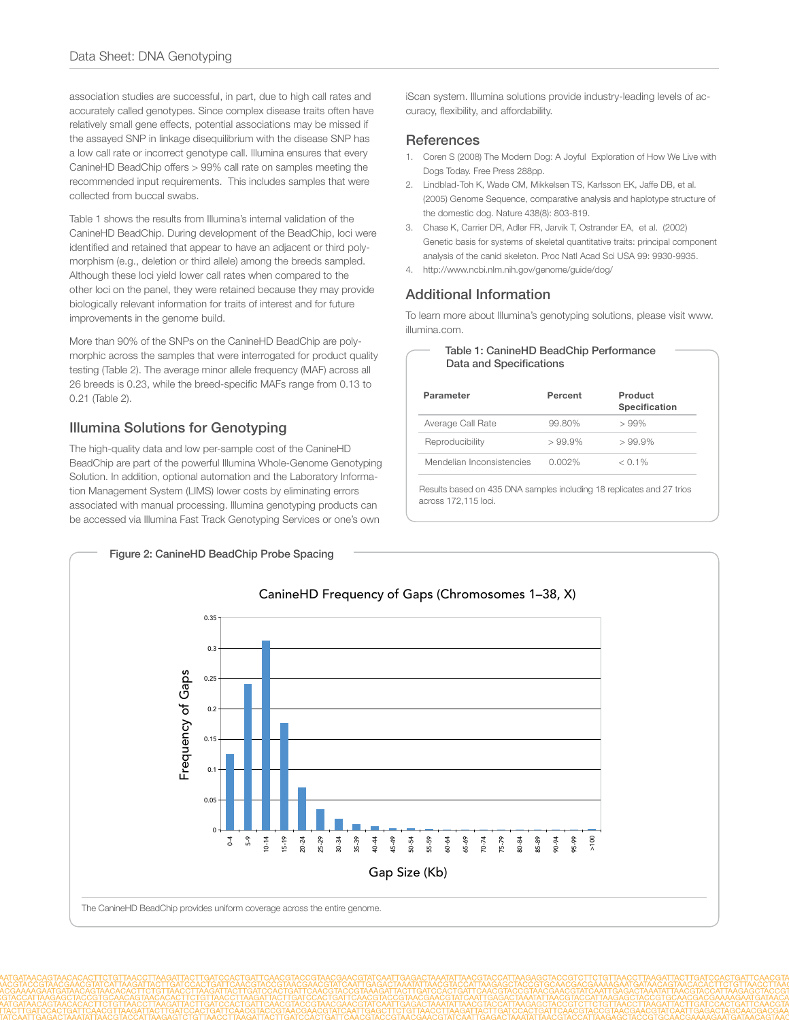association studies are successful, in part, due to high call rates and accurately called genotypes. Since complex disease traits often have relatively small gene effects, potential associations may be missed if the assayed SNP in linkage disequilibrium with the disease SNP has a low call rate or incorrect genotype call. Illumina ensures that every CanineHD BeadChip offers > 99% call rate on samples meeting the recommended input requirements. This includes samples that were collected from buccal swabs.

Table 1 shows the results from Illumina's internal validation of the CanineHD BeadChip. During development of the BeadChip, loci were identified and retained that appear to have an adjacent or third polymorphism (e.g., deletion or third allele) among the breeds sampled. Although these loci yield lower call rates when compared to the other loci on the panel, they were retained because they may provide biologically relevant information for traits of interest and for future improvements in the genome build.

More than 90% of the SNPs on the CanineHD BeadChip are polymorphic across the samples that were interrogated for product quality testing (Table 2). The average minor allele frequency (MAF) across all 26 breeds is 0.23, while the breed-specific MAFs range from 0.13 to 0.21 (Table 2).

## Illumina Solutions for Genotyping

The high-quality data and low per-sample cost of the CanineHD BeadChip are part of the powerful Illumina Whole-Genome Genotyping Solution. In addition, optional automation and the Laboratory Information Management System (LIMS) lower costs by eliminating errors associated with manual processing. Illumina genotyping products can be accessed via Illumina Fast Track Genotyping Services or one's own

iScan system. Illumina solutions provide industry-leading levels of accuracy, flexibility, and affordability.

#### **References**

- 1. Coren S (2008) The Modern Dog: A Joyful Exploration of How We Live with Dogs Today. Free Press 288pp.
- 2. Lindblad-Toh K, Wade CM, Mikkelsen TS, Karlsson EK, Jaffe DB, et al. (2005) Genome Sequence, comparative analysis and haplotype structure of the domestic dog. Nature 438(8): 803-819.
- 3. Chase K, Carrier DR, Adler FR, Jarvik T, Ostrander EA, et al. (2002) Genetic basis for systems of skeletal quantitative traits: principal component analysis of the canid skeleton. Proc Natl Acad Sci USA 99: 9930-9935.
- 4. http://www.ncbi.nlm.nih.gov/genome/guide/dog/

## Additional Information

To learn more about Illumina's genotyping solutions, please visit www. illumina.com.

| Table 1: CanineHD BeadChip Performance |
|----------------------------------------|
| Data and Specifications                |

| Parameter                 | Percent   | Product<br>Specification |
|---------------------------|-----------|--------------------------|
| Average Call Rate         | 99.80%    | >99%                     |
| Reproducibility           | $>99.9\%$ | $>99.9\%$                |
| Mendelian Inconsistencies | $0.002\%$ | $< 0.1\%$                |

Results based on 435 DNA samples including 18 replicates and 27 trios across 172,115 loci.

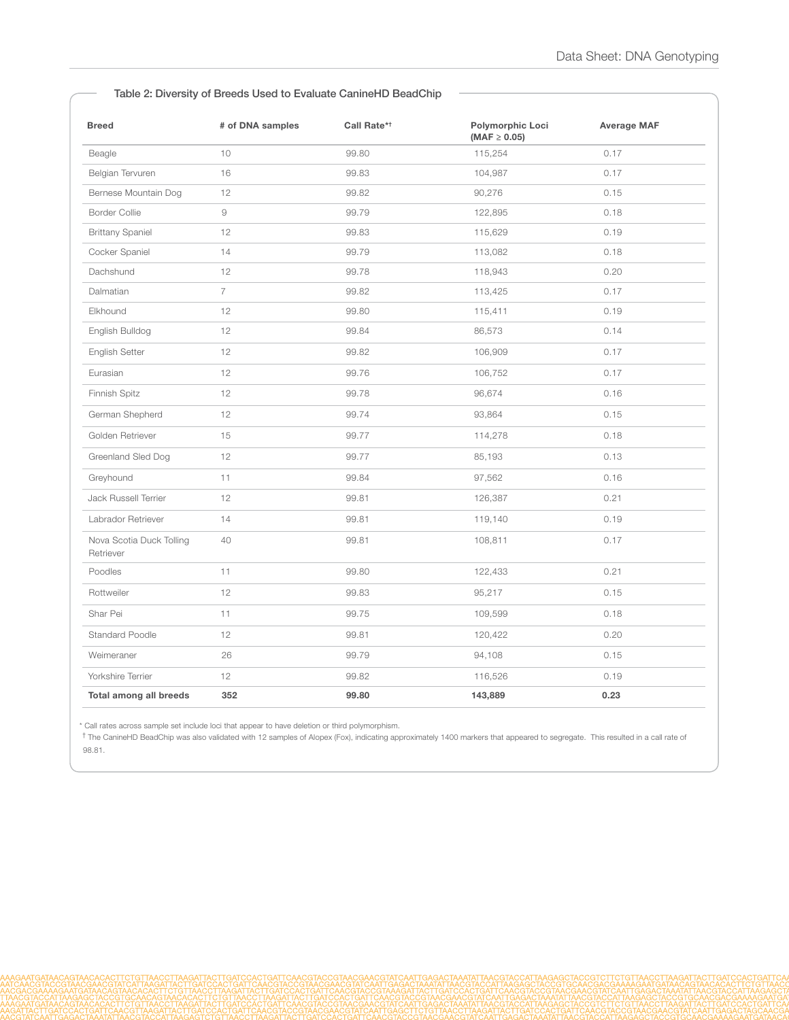#### Table 2: Diversity of Breeds Used to Evaluate CanineHD BeadChip

| <b>Breed</b>                          | # of DNA samples | Call Rate* <sup>†</sup> | Polymorphic Loci<br>$(MAF \ge 0.05)$ | <b>Average MAF</b> |
|---------------------------------------|------------------|-------------------------|--------------------------------------|--------------------|
| Beagle                                | 10               | 99.80                   | 115,254                              | 0.17               |
| Belgian Tervuren                      | 16               | 99.83                   | 104,987                              | 0.17               |
| Bernese Mountain Dog                  | 12               | 99.82                   | 90,276                               | 0.15               |
| <b>Border Collie</b>                  | $\Theta$         | 99.79                   | 122,895                              | 0.18               |
| <b>Brittany Spaniel</b>               | 12               | 99.83                   | 115,629                              | 0.19               |
| Cocker Spaniel                        | 14               | 99.79                   | 113,082                              | 0.18               |
| Dachshund                             | 12               | 99.78                   | 118,943                              | 0.20               |
| Dalmatian                             | $\overline{7}$   | 99.82                   | 113,425                              | 0.17               |
| Elkhound                              | 12               | 99.80                   | 115,411                              | 0.19               |
| English Bulldog                       | 12               | 99.84                   | 86,573                               | 0.14               |
| English Setter                        | 12               | 99.82                   | 106,909                              | 0.17               |
| Eurasian                              | 12               | 99.76                   | 106,752                              | 0.17               |
| Finnish Spitz                         | 12               | 99.78                   | 96,674                               | 0.16               |
| German Shepherd                       | 12               | 99.74                   | 93,864                               | 0.15               |
| Golden Retriever                      | 15               | 99.77                   | 114,278                              | 0.18               |
| Greenland Sled Dog                    | 12               | 99.77                   | 85,193                               | 0.13               |
| Greyhound                             | 11               | 99.84                   | 97,562                               | 0.16               |
| Jack Russell Terrier                  | 12               | 99.81                   | 126,387                              | 0.21               |
| Labrador Retriever                    | 14               | 99.81                   | 119,140                              | 0.19               |
| Nova Scotia Duck Tolling<br>Retriever | 40               | 99.81                   | 108,811                              | 0.17               |
| Poodles                               | 11               | 99.80                   | 122,433                              | 0.21               |
| Rottweiler                            | 12               | 99.83                   | 95,217                               | 0.15               |
| Shar Pei                              | 11               | 99.75                   | 109,599                              | 0.18               |
| <b>Standard Poodle</b>                | 12               | 99.81                   | 120,422                              | 0.20               |
| Weimeraner                            | 26               | 99.79                   | 94,108                               | 0.15               |
| Yorkshire Terrier                     | 12               | 99.82                   | 116,526                              | 0.19               |
| <b>Total among all breeds</b>         | 352              | 99.80                   | 143,889                              | 0.23               |

\* Call rates across sample set include loci that appear to have deletion or third polymorphism.

† The CanineHD BeadChip was also validated with 12 samples of Alopex (Fox), indicating approximately 1400 markers that appeared to segregate. This resulted in a call rate of 98.81.